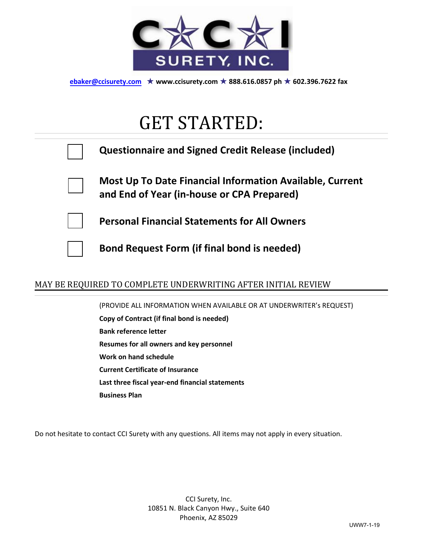

**ebaker@ccisurety.com** ★ **www.ccisurety.com** ★ **888.616.0857 ph** ★ **602.396.7622 fax** 

# GET STARTED:

|  | <b>Questionnaire and Signed Credit Release (included)</b>                                              |
|--|--------------------------------------------------------------------------------------------------------|
|  | Most Up To Date Financial Information Available, Current<br>and End of Year (in-house or CPA Prepared) |
|  | <b>Personal Financial Statements for All Owners</b>                                                    |
|  | <b>Bond Request Form (if final bond is needed)</b>                                                     |
|  |                                                                                                        |

## MAY BE REQUIRED TO COMPLETE UNDERWRITING AFTER INITIAL REVIEW

(PROVIDE ALL INFORMATION WHEN AVAILABLE OR AT UNDERWRITER's REQUEST) **Copy of Contract (if final bond is needed) Bank reference letter Resumes for all owners and key personnel Work on hand schedule Current Certificate of Insurance Last three fiscal year-end financial statements Business Plan**

Do not hesitate to contact CCI Surety with any questions. All items may not apply in every situation.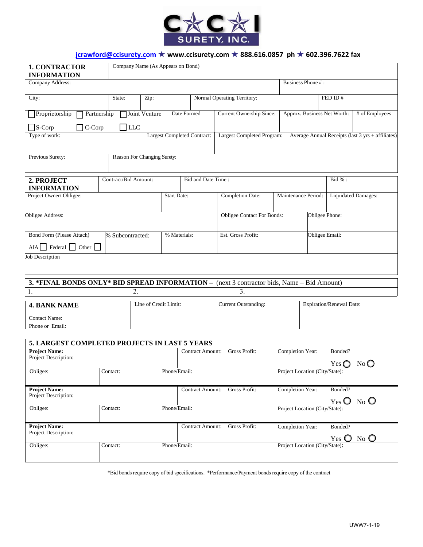

## **jcrawford@ccisurety.com** ★ **www.ccisurety.com** ★ **888.616.0857 ph** ★ **602.396.7622 fax**

| <b>1. CONTRACTOR</b><br><b>INFORMATION</b>                                                 | Company Name (As Appears on Bond) |                       |                    |                                          |                                                |                                |                                                           |                             |                                                   |  |
|--------------------------------------------------------------------------------------------|-----------------------------------|-----------------------|--------------------|------------------------------------------|------------------------------------------------|--------------------------------|-----------------------------------------------------------|-----------------------------|---------------------------------------------------|--|
| Company Address:                                                                           |                                   |                       |                    |                                          |                                                | Business Phone #:              |                                                           |                             |                                                   |  |
| City:                                                                                      | State:                            | Zip:                  |                    |                                          | Normal Operating Territory:                    |                                |                                                           | FED ID#                     |                                                   |  |
| $\Box$ Proprietorship<br>Partnership                                                       |                                   | Joint Venture         | Date Formed        |                                          | Current Ownership Since:                       |                                | Approx. Business Net Worth:                               |                             | # of Employees                                    |  |
| $\Box$ S-Corp<br>$\exists$ C-Corp                                                          | LLC                               |                       |                    |                                          |                                                |                                |                                                           |                             |                                                   |  |
| Type of work:                                                                              |                                   |                       |                    | <b>Largest Completed Contract:</b>       | Largest Completed Program:                     |                                |                                                           |                             | Average Annual Receipts (last 3 yrs + affiliates) |  |
| Previous Surety:                                                                           | Reason For Changing Surety:       |                       |                    |                                          |                                                |                                |                                                           |                             |                                                   |  |
| 2. PROJECT<br><b>INFORMATION</b>                                                           |                                   | Contract/Bid Amount:  |                    |                                          | Bid and Date Time:                             |                                |                                                           | Bid %:                      |                                                   |  |
| Project Owner/ Obligee:                                                                    |                                   |                       | <b>Start Date:</b> |                                          | <b>Completion Date:</b><br>Maintenance Period: |                                |                                                           | <b>Liquidated Damages:</b>  |                                                   |  |
| Obligee Address:                                                                           |                                   |                       |                    |                                          | <b>Obligee Contact For Bonds:</b>              |                                | Obligee Phone:                                            |                             |                                                   |  |
| Bond Form (Please Attach)<br>$AIA$ Federal $\Box$ Other $\Box$                             | % Subcontracted:                  |                       | % Materials:       |                                          | Est. Gross Profit:                             |                                |                                                           | Obligee Email:              |                                                   |  |
| <b>Job Description</b>                                                                     |                                   |                       |                    |                                          |                                                |                                |                                                           |                             |                                                   |  |
| 3. *FINAL BONDS ONLY* BID SPREAD INFORMATION - (next 3 contractor bids, Name - Bid Amount) |                                   |                       |                    |                                          |                                                |                                |                                                           |                             |                                                   |  |
| 1.                                                                                         | 2.                                |                       |                    |                                          | 3.                                             |                                |                                                           |                             |                                                   |  |
| <b>4. BANK NAME</b>                                                                        |                                   | Line of Credit Limit: |                    |                                          | <b>Current Outstanding:</b>                    |                                |                                                           | Expiration/Renewal Date:    |                                                   |  |
| <b>Contact Name:</b><br>Phone or Email:                                                    |                                   |                       |                    |                                          |                                                |                                |                                                           |                             |                                                   |  |
| 5. LARGEST COMPLETED PROJECTS IN LAST 5 YEARS                                              |                                   |                       |                    |                                          |                                                |                                |                                                           |                             |                                                   |  |
| <b>Project Name:</b>                                                                       |                                   |                       |                    | <b>Contract Amount:</b>                  | Gross Profit:                                  | Completion Year:               |                                                           | Bonded?                     |                                                   |  |
| Project Description:                                                                       |                                   |                       |                    |                                          |                                                |                                |                                                           | Yes $\bigcirc$              | No                                                |  |
| Obligee:                                                                                   | Phone/Email:<br>Contact:          |                       |                    |                                          | Project Location (City/State):                 |                                |                                                           |                             |                                                   |  |
| <b>Project Name:</b><br>Project Description:                                               |                                   |                       |                    | Gross Profit:<br><b>Contract Amount:</b> |                                                |                                | Completion Year:<br>Bonded?<br>$N_0$ O<br>$Yes$ $\bullet$ |                             |                                                   |  |
| Obligee:                                                                                   | Contact:                          |                       | Phone/Email:       |                                          |                                                |                                | Project Location (City/State):                            |                             |                                                   |  |
| <b>Project Name:</b><br>Project Description:                                               |                                   |                       |                    | <b>Contract Amount:</b>                  | Gross Profit:                                  | Completion Year:               |                                                           | Bonded?<br>$Yes$ $\bigcirc$ | $No$ $O$                                          |  |
| Obligee:                                                                                   | Contact:                          |                       | Phone/Email:       |                                          |                                                | Project Location (City/State): |                                                           |                             |                                                   |  |

\*Bid bonds require copy of bid specifications. \*Performance/Payment bonds require copy of the contract